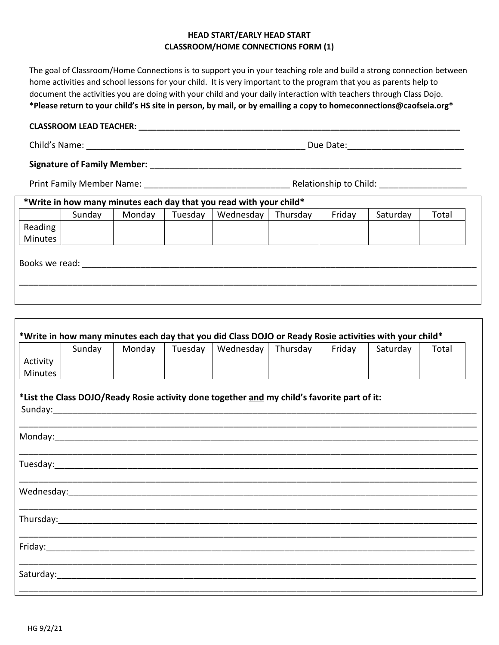# **HEAD START/EARLY HEAD START CLASSROOM/HOME CONNECTIONS FORM (1)**

The goal of Classroom/Home Connections is to support you in your teaching role and build a strong connection between home activities and school lessons for your child. It is very important to the program that you as parents help to document the activities you are doing with your child and your daily interaction with teachers through Class Dojo. **\*Please return to your child's HS site in person, by mail, or by emailing a copy to homeconnections@caofseia.org\*** 

## **CLASSROOM LEAD TEACHER: \_\_\_\_\_\_\_\_\_\_\_\_\_\_\_\_\_\_\_\_\_\_\_\_\_\_\_\_\_\_\_\_\_\_\_\_\_\_\_\_\_\_\_\_\_\_\_\_\_\_\_\_\_\_\_\_\_\_\_\_\_\_\_\_\_\_\_\_\_\_\_\_**

| Child's<br>'s Name:<br>Date.<br>۱۱۱۴ |  |
|--------------------------------------|--|
|--------------------------------------|--|

**Signature of Family Member:** \_\_\_\_\_\_\_\_\_\_\_\_\_\_\_\_\_\_\_\_\_\_\_\_\_\_\_\_\_\_\_\_\_\_\_\_\_\_\_\_\_\_\_\_\_\_\_\_\_\_\_\_\_\_\_\_\_\_\_\_\_\_\_\_

Print Family Member Name: \_\_\_\_\_\_\_\_\_\_\_\_\_\_\_\_\_\_\_\_\_\_\_\_\_\_\_\_\_\_ Relationship to Child: \_\_\_\_\_\_\_\_\_\_\_\_\_\_\_\_\_\_

|                |        |        |         | *Write in how many minutes each day that you read with your child* |          |        |          |       |
|----------------|--------|--------|---------|--------------------------------------------------------------------|----------|--------|----------|-------|
|                | Sunday | Monday | Tuesday | Wednesday                                                          | Thursday | Friday | Saturday | Total |
| Reading        |        |        |         |                                                                    |          |        |          |       |
| Minutes        |        |        |         |                                                                    |          |        |          |       |
| Books we read: |        |        |         |                                                                    |          |        |          |       |
|                |        |        |         |                                                                    |          |        |          |       |
|                |        |        |         |                                                                    |          |        |          |       |
|                |        |        |         |                                                                    |          |        |          |       |

|          | Sunday | Monday | Tuesday | Wednesday                                                                                   | Thursday | Friday | Saturday | Total |
|----------|--------|--------|---------|---------------------------------------------------------------------------------------------|----------|--------|----------|-------|
| Activity |        |        |         |                                                                                             |          |        |          |       |
| Minutes  |        |        |         |                                                                                             |          |        |          |       |
|          |        |        |         | *List the Class DOJO/Ready Rosie activity done together and my child's favorite part of it: |          |        |          |       |
|          |        |        |         |                                                                                             |          |        |          |       |
|          |        |        |         |                                                                                             |          |        |          |       |
|          |        |        |         |                                                                                             |          |        |          |       |
|          |        |        |         |                                                                                             |          |        |          |       |
|          |        |        |         |                                                                                             |          |        |          |       |
|          |        |        |         |                                                                                             |          |        |          |       |